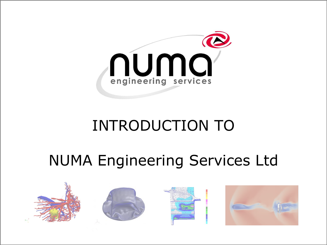

#### INTRODUCTION TO

#### NUMA Engineering Services Ltd

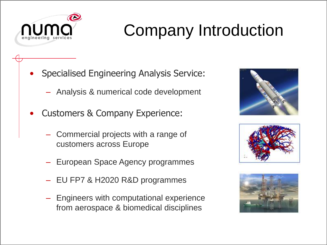

# Company Introduction

- Specialised Engineering Analysis Service:
	- Analysis & numerical code development
- Customers & Company Experience:
	- Commercial projects with a range of customers across Europe
	- European Space Agency programmes
	- EU FP7 & H2020 R&D programmes
	- Engineers with computational experience from aerospace & biomedical disciplines





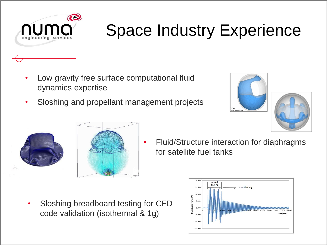

- Low gravity free surface computational fluid dynamics expertise
- Sloshing and propellant management projects





• Fluid/Structure interaction for diaphragms for satellite fuel tanks

• Sloshing breadboard testing for CFD code validation (isothermal & 1g)

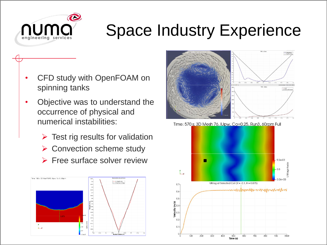

- CFD study with OpenFOAM on spinning tanks
- Objective was to understand the occurrence of physical and numerical instabilities:
	- $\triangleright$  Test rig results for validation
	- ➢ Convection scheme study
	- ➢ Free surface solver review





Time: 570 s; 3D Mesh 76, IUpw, Co=0.25, Run3, 60rpm Full

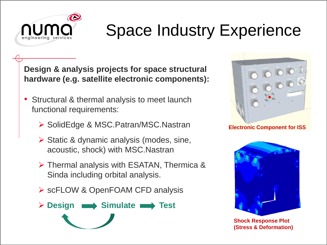

**Design & analysis projects for space structural hardware (e.g. satellite electronic components):**

- Structural & thermal analysis to meet launch functional requirements:
	- ➢ SolidEdge & MSC.Patran/MSC.Nastran
	- ➢ Static & dynamic analysis (modes, sine, acoustic, shock) with MSC.Nastran
	- ➢ Thermal analysis with ESATAN, Thermica & Sinda including orbital analysis.
	- ➢ scFLOW & OpenFOAM CFD analysis





**Electronic Component for ISS**



**Shock Response Plot (Stress & Deformation)**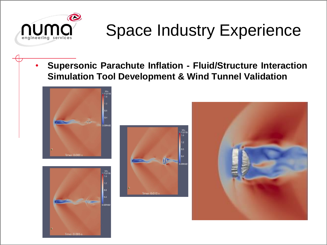

• **Supersonic Parachute Inflation - Fluid/Structure Interaction Simulation Tool Development & Wind Tunnel Validation**







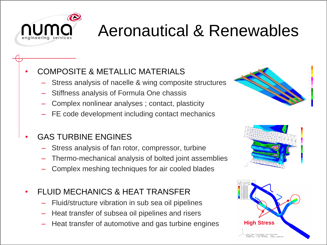

### Aeronautical & Renewables

#### • COMPOSITE & METALLIC MATERIALS

- Stress analysis of nacelle & wing composite structures
- Stiffness analysis of Formula One chassis
- Complex nonlinear analyses ; contact, plasticity
- FE code development including contact mechanics
- GAS TURBINE ENGINES
	- Stress analysis of fan rotor, compressor, turbine
	- Thermo-mechanical analysis of bolted joint assemblies
	- Complex meshing techniques for air cooled blades
- FLUID MECHANICS & HEAT TRANSFER
	- Fluid/structure vibration in sub sea oil pipelines
	- Heat transfer of subsea oil pipelines and risers
	- Heat transfer of automotive and gas turbine engines **High Stress**





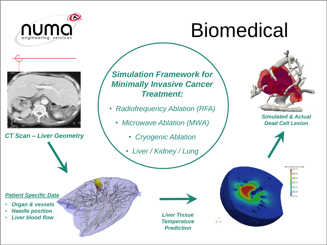

# Biomedical



*CT Scan – Liver Geometry*

*Simulation Framework for Minimally Invasive Cancer Treatment:*

- *Radiofrequency Ablation (RFA)*
	- *Microwave Ablation (MWA)*
		- *Cryogenic Ablation*
		- *Liver / Kidney / Lung*



*Simulated & Actual Dead Cell Lesion*





#### *Patient Specific Data*

- *Organ & vessels*
- *Needle position*
- *Liver blood flow*



*Liver Tissue Temperature Prediction*